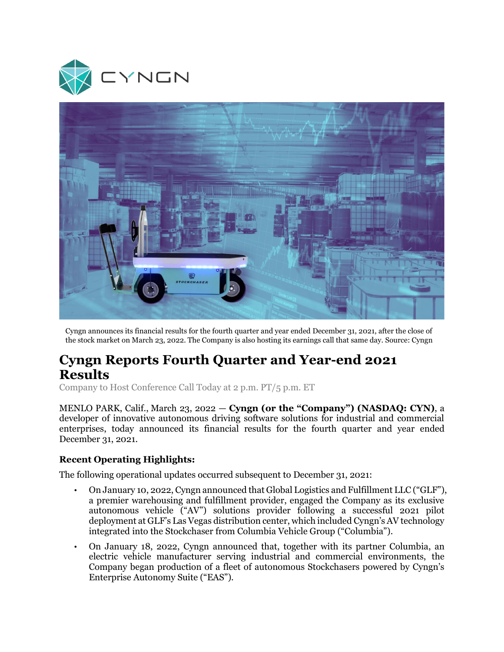



Cyngn announces its financial results for the fourth quarter and year ended December 31, 2021, after the close of the stock market on March 23, 2022. The Company is also hosting its earnings call that same day. Source: Cyngn

# **Cyngn Reports Fourth Quarter and Year-end 2021 Results**

Company to Host Conference Call Today at 2 p.m. PT/5 p.m. ET

MENLO PARK, Calif., March 23, 2022 — **Cyngn (or the "Company") (NASDAQ: CYN)**, a developer of innovative autonomous driving software solutions for industrial and commercial enterprises, today announced its financial results for the fourth quarter and year ended December 31, 2021.

## **Recent Operating Highlights:**

The following operational updates occurred subsequent to December 31, 2021:

- On January 10, 2022, Cyngn announced that Global Logistics and Fulfillment LLC ("GLF"), a premier warehousing and fulfillment provider, engaged the Company as its exclusive autonomous vehicle ("AV") solutions provider following a successful 2021 pilot deployment at GLF's Las Vegas distribution center, which included Cyngn's AV technology integrated into the Stockchaser from Columbia Vehicle Group ("Columbia").
- On January 18, 2022, Cyngn announced that, together with its partner Columbia, an electric vehicle manufacturer serving industrial and commercial environments, the Company began production of a fleet of autonomous Stockchasers powered by Cyngn's Enterprise Autonomy Suite ("EAS").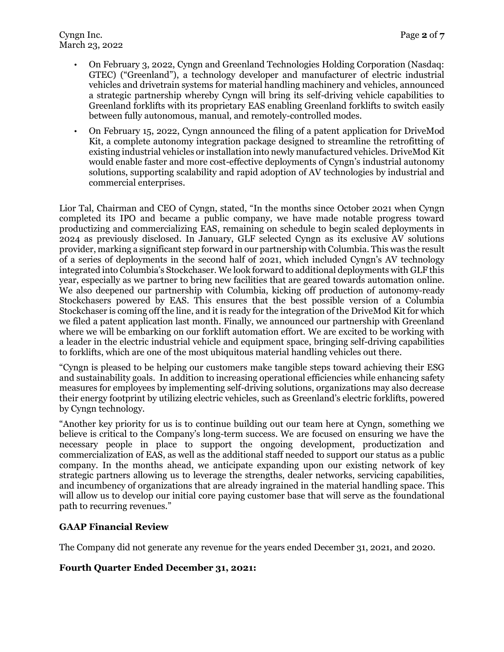Cyngn Inc. Page 2 of **7** March 23, 2022

- On February 3, 2022, Cyngn and Greenland Technologies Holding Corporation (Nasdaq: GTEC) ("Greenland"), a technology developer and manufacturer of electric industrial vehicles and drivetrain systems for material handling machinery and vehicles, announced a strategic partnership whereby Cyngn will bring its self-driving vehicle capabilities to Greenland forklifts with its proprietary EAS enabling Greenland forklifts to switch easily between fully autonomous, manual, and remotely-controlled modes.
- On February 15, 2022, Cyngn announced the filing of a patent application for DriveMod Kit, a complete autonomy integration package designed to streamline the retrofitting of existing industrial vehicles or installation into newly manufactured vehicles. DriveMod Kit would enable faster and more cost-effective deployments of Cyngn's industrial autonomy solutions, supporting scalability and rapid adoption of AV technologies by industrial and commercial enterprises.

Lior Tal, Chairman and CEO of Cyngn, stated, "In the months since October 2021 when Cyngn completed its IPO and became a public company, we have made notable progress toward productizing and commercializing EAS, remaining on schedule to begin scaled deployments in 2024 as previously disclosed. In January, GLF selected Cyngn as its exclusive AV solutions provider, marking a significant step forward in our partnership with Columbia. This was the result of a series of deployments in the second half of 2021, which included Cyngn's AV technology integrated into Columbia's Stockchaser. We look forward to additional deployments with GLF this year, especially as we partner to bring new facilities that are geared towards automation online. We also deepened our partnership with Columbia, kicking off production of autonomy-ready Stockchasers powered by EAS. This ensures that the best possible version of a Columbia Stockchaser is coming off the line, and it is ready for the integration of the DriveMod Kit for which we filed a patent application last month. Finally, we announced our partnership with Greenland where we will be embarking on our forklift automation effort. We are excited to be working with a leader in the electric industrial vehicle and equipment space, bringing self-driving capabilities to forklifts, which are one of the most ubiquitous material handling vehicles out there.

"Cyngn is pleased to be helping our customers make tangible steps toward achieving their ESG and sustainability goals. In addition to increasing operational efficiencies while enhancing safety measures for employees by implementing self-driving solutions, organizations may also decrease their energy footprint by utilizing electric vehicles, such as Greenland's electric forklifts, powered by Cyngn technology.

"Another key priority for us is to continue building out our team here at Cyngn, something we believe is critical to the Company's long-term success. We are focused on ensuring we have the necessary people in place to support the ongoing development, productization and commercialization of EAS, as well as the additional staff needed to support our status as a public company. In the months ahead, we anticipate expanding upon our existing network of key strategic partners allowing us to leverage the strengths, dealer networks, servicing capabilities, and incumbency of organizations that are already ingrained in the material handling space. This will allow us to develop our initial core paying customer base that will serve as the foundational path to recurring revenues."

## **GAAP Financial Review**

The Company did not generate any revenue for the years ended December 31, 2021, and 2020.

## **Fourth Quarter Ended December 31, 2021:**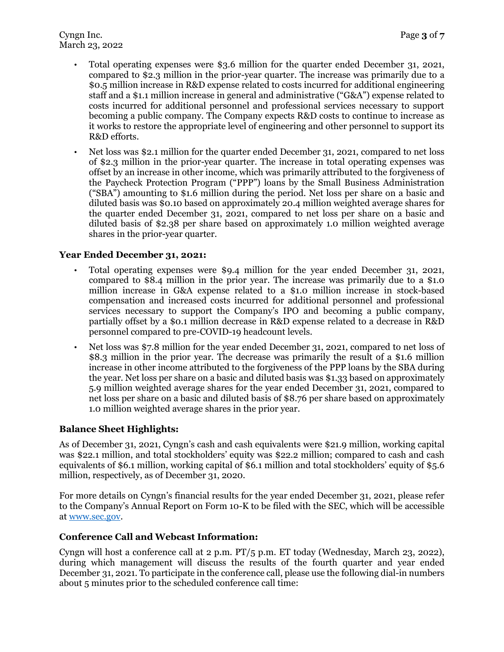- Total operating expenses were \$3.6 million for the quarter ended December 31, 2021, compared to \$2.3 million in the prior-year quarter. The increase was primarily due to a \$0.5 million increase in R&D expense related to costs incurred for additional engineering staff and a \$1.1 million increase in general and administrative ("G&A") expense related to costs incurred for additional personnel and professional services necessary to support becoming a public company. The Company expects R&D costs to continue to increase as it works to restore the appropriate level of engineering and other personnel to support its R&D efforts.
- Net loss was \$2.1 million for the quarter ended December 31, 2021, compared to net loss of \$2.3 million in the prior-year quarter. The increase in total operating expenses was offset by an increase in other income, which was primarily attributed to the forgiveness of the Paycheck Protection Program ("PPP") loans by the Small Business Administration ("SBA") amounting to \$1.6 million during the period. Net loss per share on a basic and diluted basis was \$0.10 based on approximately 20.4 million weighted average shares for the quarter ended December 31, 2021, compared to net loss per share on a basic and diluted basis of \$2.38 per share based on approximately 1.0 million weighted average shares in the prior-year quarter.

## **Year Ended December 31, 2021:**

- Total operating expenses were \$9.4 million for the year ended December 31, 2021, compared to \$8.4 million in the prior year. The increase was primarily due to a \$1.0 million increase in G&A expense related to a \$1.0 million increase in stock-based compensation and increased costs incurred for additional personnel and professional services necessary to support the Company's IPO and becoming a public company, partially offset by a \$0.1 million decrease in R&D expense related to a decrease in R&D personnel compared to pre-COVID-19 headcount levels.
- Net loss was \$7.8 million for the year ended December 31, 2021, compared to net loss of \$8.3 million in the prior year. The decrease was primarily the result of a \$1.6 million increase in other income attributed to the forgiveness of the PPP loans by the SBA during the year. Net loss per share on a basic and diluted basis was \$1.33 based on approximately 5.9 million weighted average shares for the year ended December 31, 2021, compared to net loss per share on a basic and diluted basis of \$8.76 per share based on approximately 1.0 million weighted average shares in the prior year.

## **Balance Sheet Highlights:**

As of December 31, 2021, Cyngn's cash and cash equivalents were \$21.9 million, working capital was \$22.1 million, and total stockholders' equity was \$22.2 million; compared to cash and cash equivalents of \$6.1 million, working capital of \$6.1 million and total stockholders' equity of \$5.6 million, respectively, as of December 31, 2020.

For more details on Cyngn's financial results for the year ended December 31, 2021, please refer to the Company's Annual Report on Form 10-K to be filed with the SEC, which will be accessible at [www.sec.gov.](http://www.sec.gov/)

## **Conference Call and Webcast Information:**

Cyngn will host a conference call at 2 p.m. PT/5 p.m. ET today (Wednesday, March 23, 2022), during which management will discuss the results of the fourth quarter and year ended December 31, 2021. To participate in the conference call, please use the following dial-in numbers about 5 minutes prior to the scheduled conference call time: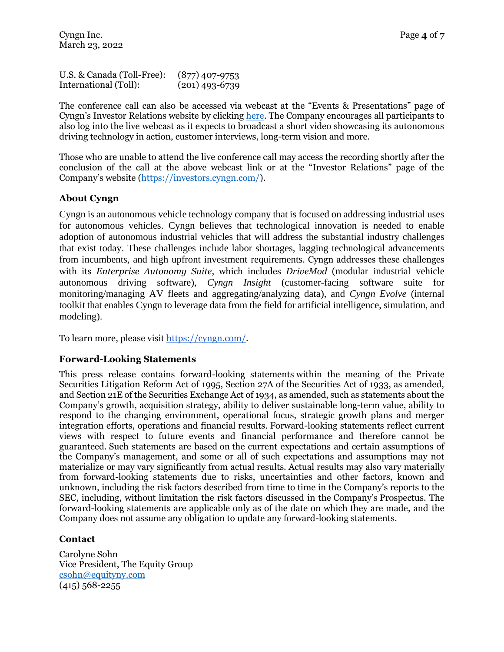U.S. & Canada (Toll-Free): (877) 407-9753 International (Toll): (201) 493-6739

The conference call can also be accessed via webcast at the "Events & Presentations" page of Cyngn's Investor Relations website by clicking [here.](https://investors.cyngn.com/events-presentations/?utm_source=cyngn&utm_medium=pr&utm_campaign=Cowen-Trade-Show-PR&utm_id=Cowen-Trade-Show-PR) The Company encourages all participants to also log into the live webcast as it expects to broadcast a short video showcasing its autonomous driving technology in action, customer interviews, long-term vision and more.

Those who are unable to attend the live conference call may access the recording shortly after the conclusion of the call at the above webcast link or at the "Investor Relations" page of the Company's website ([https://investors.cyngn.com/\)](https://investors.cyngn.com/).

## **About Cyngn**

Cyngn is an autonomous vehicle technology company that is focused on addressing industrial uses for autonomous vehicles. Cyngn believes that technological innovation is needed to enable adoption of autonomous industrial vehicles that will address the substantial industry challenges that exist today. These challenges include labor shortages, lagging technological advancements from incumbents, and high upfront investment requirements. Cyngn addresses these challenges with its *Enterprise Autonomy Suite*, which includes *DriveMod* (modular industrial vehicle autonomous driving software), *Cyngn Insight* (customer-facing software suite for monitoring/managing AV fleets and aggregating/analyzing data), and *Cyngn Evolve* (internal toolkit that enables Cyngn to leverage data from the field for artificial intelligence, simulation, and modeling).

To learn more, please visit [https://cyngn.com/.](https://cyngn.com/?utm_campaign=Press%20Releases&utm_source=press&utm_medium=3-14-2022-earnings&utm_term=cyngn%20hp)

## **Forward-Looking Statements**

This press release contains forward-looking statements within the meaning of the Private Securities Litigation Reform Act of 1995, Section 27A of the Securities Act of 1933, as amended, and Section 21E of the Securities Exchange Act of 1934, as amended, such as statements about the Company's growth, acquisition strategy, ability to deliver sustainable long-term value, ability to respond to the changing environment, operational focus, strategic growth plans and merger integration efforts, operations and financial results. Forward-looking statements reflect current views with respect to future events and financial performance and therefore cannot be guaranteed. Such statements are based on the current expectations and certain assumptions of the Company's management, and some or all of such expectations and assumptions may not materialize or may vary significantly from actual results. Actual results may also vary materially from forward-looking statements due to risks, uncertainties and other factors, known and unknown, including the risk factors described from time to time in the Company's reports to the SEC, including, without limitation the risk factors discussed in the Company's Prospectus. The forward-looking statements are applicable only as of the date on which they are made, and the Company does not assume any obligation to update any forward-looking statements.

## **Contact**

Carolyne Sohn Vice President, The Equity Group [csohn@equityny.com](mailto:csohn@equityny.com)  $(415)$  568-2255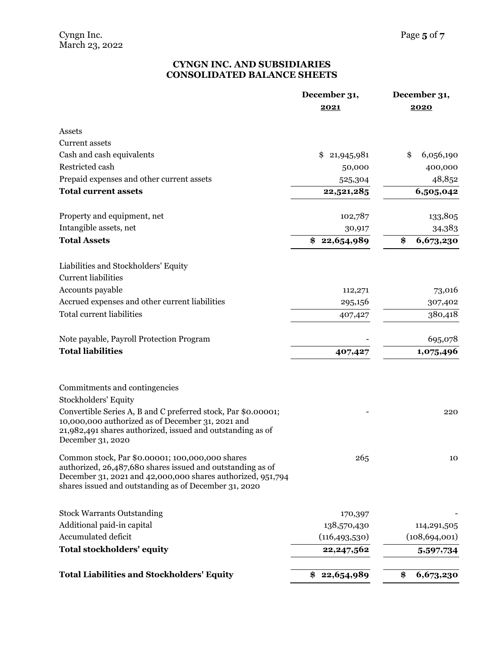## **CYNGN INC. AND SUBSIDIARIES CONSOLIDATED BALANCE SHEETS**

|                                                                                                                                                                                                                                                                       | December 31,<br>2021 | December 31,<br>2020 |  |  |
|-----------------------------------------------------------------------------------------------------------------------------------------------------------------------------------------------------------------------------------------------------------------------|----------------------|----------------------|--|--|
| Assets                                                                                                                                                                                                                                                                |                      |                      |  |  |
| <b>Current assets</b>                                                                                                                                                                                                                                                 |                      |                      |  |  |
| Cash and cash equivalents                                                                                                                                                                                                                                             | \$<br>21,945,981     | \$<br>6,056,190      |  |  |
| Restricted cash                                                                                                                                                                                                                                                       | 50,000               | 400,000              |  |  |
| Prepaid expenses and other current assets                                                                                                                                                                                                                             | 525,304              | 48,852               |  |  |
| <b>Total current assets</b>                                                                                                                                                                                                                                           | 22,521,285           | 6,505,042            |  |  |
| Property and equipment, net                                                                                                                                                                                                                                           | 102,787              | 133,805              |  |  |
| Intangible assets, net                                                                                                                                                                                                                                                | 30,917               | 34,383               |  |  |
| <b>Total Assets</b>                                                                                                                                                                                                                                                   | 22,654,989<br>\$     | \$<br>6,673,230      |  |  |
| Liabilities and Stockholders' Equity<br><b>Current liabilities</b>                                                                                                                                                                                                    |                      |                      |  |  |
| Accounts payable                                                                                                                                                                                                                                                      | 112,271              | 73,016               |  |  |
| Accrued expenses and other current liabilities                                                                                                                                                                                                                        | 295,156              | 307,402              |  |  |
| <b>Total current liabilities</b>                                                                                                                                                                                                                                      | 407,427              | 380,418              |  |  |
| Note payable, Payroll Protection Program                                                                                                                                                                                                                              |                      | 695,078              |  |  |
| <b>Total liabilities</b>                                                                                                                                                                                                                                              | 407,427              | 1,075,496            |  |  |
| Commitments and contingencies<br><b>Stockholders' Equity</b><br>Convertible Series A, B and C preferred stock, Par \$0.00001;<br>10,000,000 authorized as of December 31, 2021 and<br>21,982,491 shares authorized, issued and outstanding as of<br>December 31, 2020 |                      | 220                  |  |  |
| Common stock, Par \$0.00001; 100,000,000 shares<br>authorized, 26,487,680 shares issued and outstanding as of<br>December 31, 2021 and 42,000,000 shares authorized, 951,794<br>shares issued and outstanding as of December 31, 2020                                 | 265                  | 10                   |  |  |
| <b>Stock Warrants Outstanding</b>                                                                                                                                                                                                                                     | 170,397              |                      |  |  |
| Additional paid-in capital                                                                                                                                                                                                                                            | 138,570,430          | 114,291,505          |  |  |
| Accumulated deficit                                                                                                                                                                                                                                                   | (116, 493, 530)      | (108, 694, 001)      |  |  |
| <b>Total stockholders' equity</b>                                                                                                                                                                                                                                     | 22, 247, 562         | 5,597,734            |  |  |
| <b>Total Liabilities and Stockholders' Equity</b>                                                                                                                                                                                                                     | 22,654,989<br>\$     | \$<br>6,673,230      |  |  |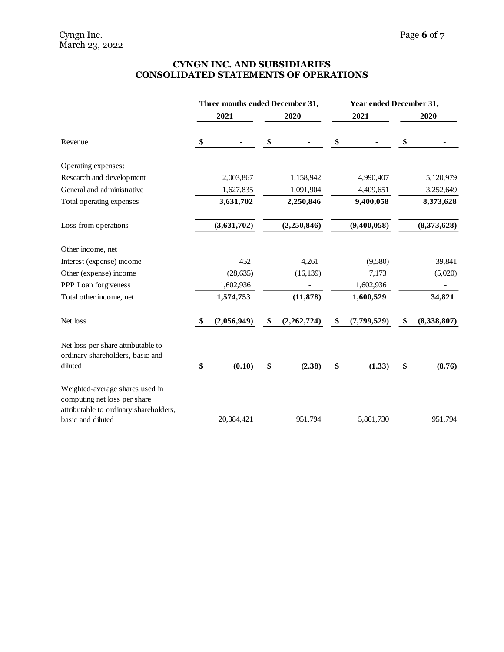## **CYNGN INC. AND SUBSIDIARIES CONSOLIDATED STATEMENTS OF OPERATIONS**

|                                                                                                           | Three months ended December 31, |             |    | Year ended December 31, |    |               |    |             |
|-----------------------------------------------------------------------------------------------------------|---------------------------------|-------------|----|-------------------------|----|---------------|----|-------------|
|                                                                                                           |                                 | 2021        |    | 2020                    |    | 2021          |    | 2020        |
| Revenue                                                                                                   | \$                              |             | \$ |                         | \$ |               | \$ |             |
| Operating expenses:                                                                                       |                                 |             |    |                         |    |               |    |             |
| Research and development                                                                                  |                                 | 2,003,867   |    | 1,158,942               |    | 4,990,407     |    | 5,120,979   |
| General and administrative                                                                                |                                 | 1,627,835   |    | 1,091,904               |    | 4,409,651     |    | 3,252,649   |
| Total operating expenses                                                                                  |                                 | 3,631,702   |    | 2,250,846               |    | 9,400,058     |    | 8,373,628   |
| Loss from operations                                                                                      |                                 | (3,631,702) |    | (2,250,846)             |    | (9,400,058)   |    | (8,373,628) |
| Other income, net                                                                                         |                                 |             |    |                         |    |               |    |             |
| Interest (expense) income                                                                                 |                                 | 452         |    | 4,261                   |    | (9,580)       |    | 39,841      |
| Other (expense) income                                                                                    |                                 | (28, 635)   |    | (16, 139)               |    | 7,173         |    | (5,020)     |
| PPP Loan forgiveness                                                                                      |                                 | 1,602,936   |    |                         |    | 1,602,936     |    |             |
| Total other income, net                                                                                   |                                 | 1,574,753   |    | (11, 878)               |    | 1,600,529     |    | 34,821      |
| Net loss                                                                                                  | \$                              | (2,056,949) | \$ | (2,262,724)             | \$ | (7, 799, 529) | \$ | (8,338,807) |
| Net loss per share attributable to<br>ordinary shareholders, basic and                                    |                                 |             |    |                         |    |               |    |             |
| diluted                                                                                                   | \$                              | (0.10)      | \$ | (2.38)                  | \$ | (1.33)        | \$ | (8.76)      |
| Weighted-average shares used in<br>computing net loss per share<br>attributable to ordinary shareholders, |                                 |             |    |                         |    |               |    |             |
| basic and diluted                                                                                         |                                 | 20,384,421  |    | 951,794                 |    | 5,861,730     |    | 951,794     |